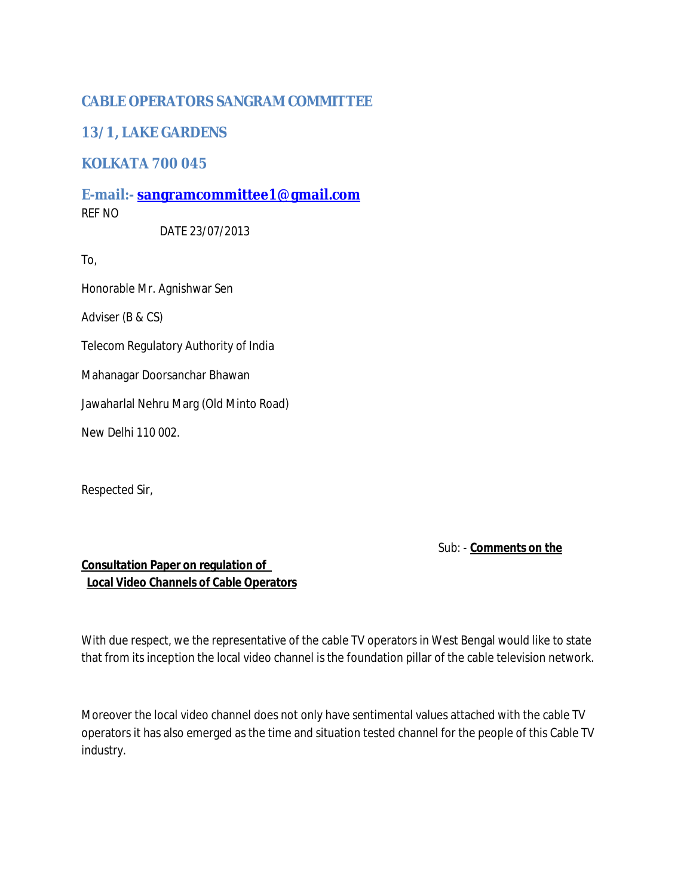## **CABLE OPERATORS SANGRAM COMMITTEE**

## **13/1, LAKE GARDENS**

## **KOLKATA 700 045**

**E-mail:- [sangramcommittee1@gmail.com](mailto:sangramcommittee1@gmail.com)** REF NO

DATE 23/07/2013

To,

Honorable Mr. Agnishwar Sen

Adviser (B & CS)

Telecom Regulatory Authority of India

Mahanagar Doorsanchar Bhawan

Jawaharlal Nehru Marg (Old Minto Road)

New Delhi 110 002.

Respected Sir,

Sub: - **Comments on the**

## **Consultation Paper on regulation of Local Video Channels of Cable Operators**

With due respect, we the representative of the cable TV operators in West Bengal would like to state that from its inception the local video channel is the foundation pillar of the cable television network.

Moreover the local video channel does not only have sentimental values attached with the cable TV operators it has also emerged as the time and situation tested channel for the people of this Cable TV industry.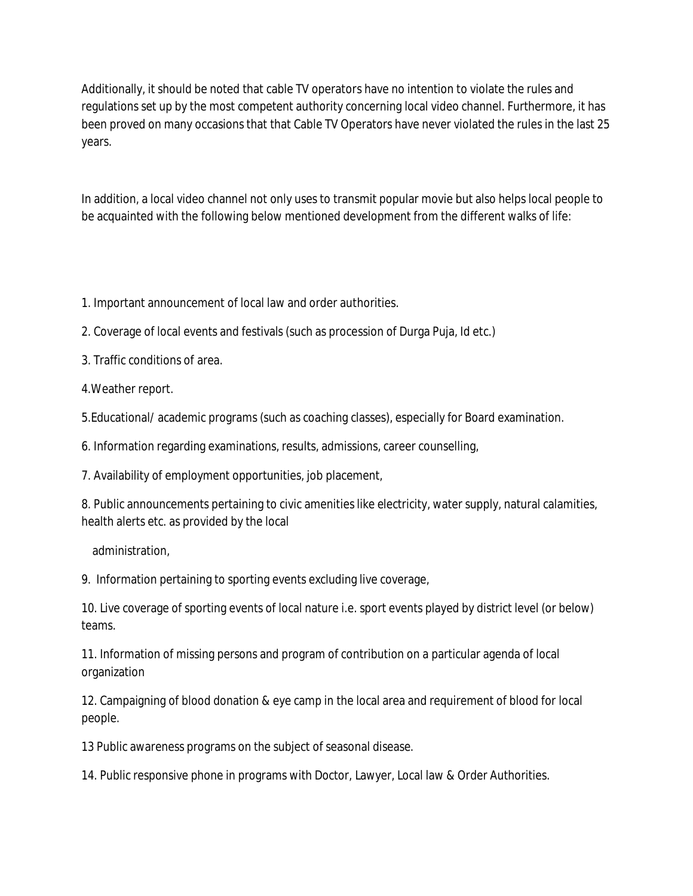Additionally, it should be noted that cable TV operators have no intention to violate the rules and regulations set up by the most competent authority concerning local video channel. Furthermore, it has been proved on many occasions that that Cable TV Operators have never violated the rules in the last 25 years.

In addition, a local video channel not only uses to transmit popular movie but also helps local people to be acquainted with the following below mentioned development from the different walks of life:

- 1. Important announcement of local law and order authorities.
- 2. Coverage of local events and festivals (such as procession of Durga Puja, Id etc.)
- 3. Traffic conditions of area.
- 4.Weather report.
- 5.Educational/ academic programs (such as coaching classes), especially for Board examination.
- 6. Information regarding examinations, results, admissions, career counselling,
- 7. Availability of employment opportunities, job placement,
- 8. Public announcements pertaining to civic amenities like electricity, water supply, natural calamities, health alerts etc. as provided by the local
	- administration,
- 9. Information pertaining to sporting events excluding live coverage,
- 10. Live coverage of sporting events of local nature i.e. sport events played by district level (or below) teams.
- 11. Information of missing persons and program of contribution on a particular agenda of local organization
- 12. Campaigning of blood donation & eye camp in the local area and requirement of blood for local people.
- 13 Public awareness programs on the subject of seasonal disease.
- 14. Public responsive phone in programs with Doctor, Lawyer, Local law & Order Authorities.